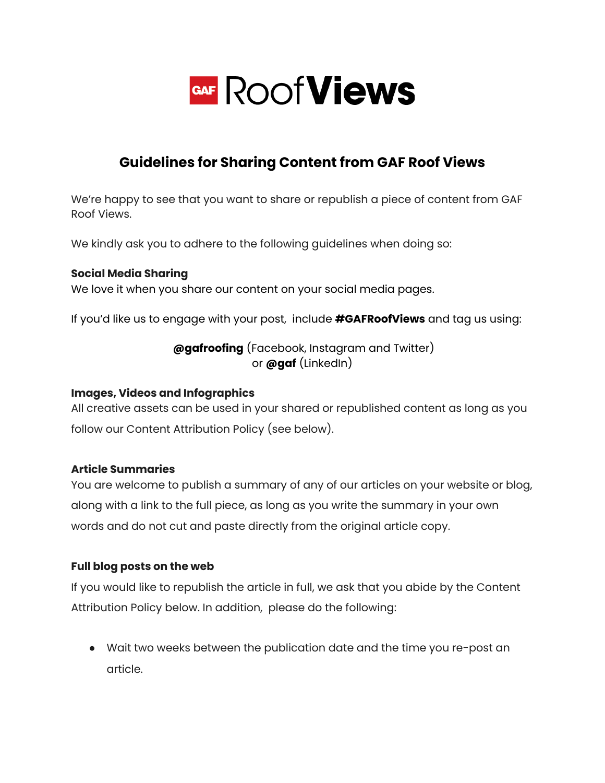

# **Guidelines for Sharing Content from GAF Roof Views**

We're happy to see that you want to share or republish a piece of content from GAF Roof Views.

We kindly ask you to adhere to the following guidelines when doing so:

#### **Social Media Sharing**

We love it when you share our content on your social media pages.

If you'd like us to engage with your post, include **#GAFRoofViews** and tag us using:

## **@gafroofing** (Facebook, Instagram and Twitter) or **@gaf** (LinkedIn)

#### **Images, Videos and Infographics**

All creative assets can be used in your shared or republished content as long as you follow our Content Attribution Policy (see below).

#### **Article Summaries**

You are welcome to publish a summary of any of our articles on your website or blog, along with a link to the full piece, as long as you write the summary in your own words and do not cut and paste directly from the original article copy.

#### **Full blog posts on the web**

If you would like to republish the article in full, we ask that you abide by the Content Attribution Policy below. In addition, please do the following:

● Wait two weeks between the publication date and the time you re-post an article.